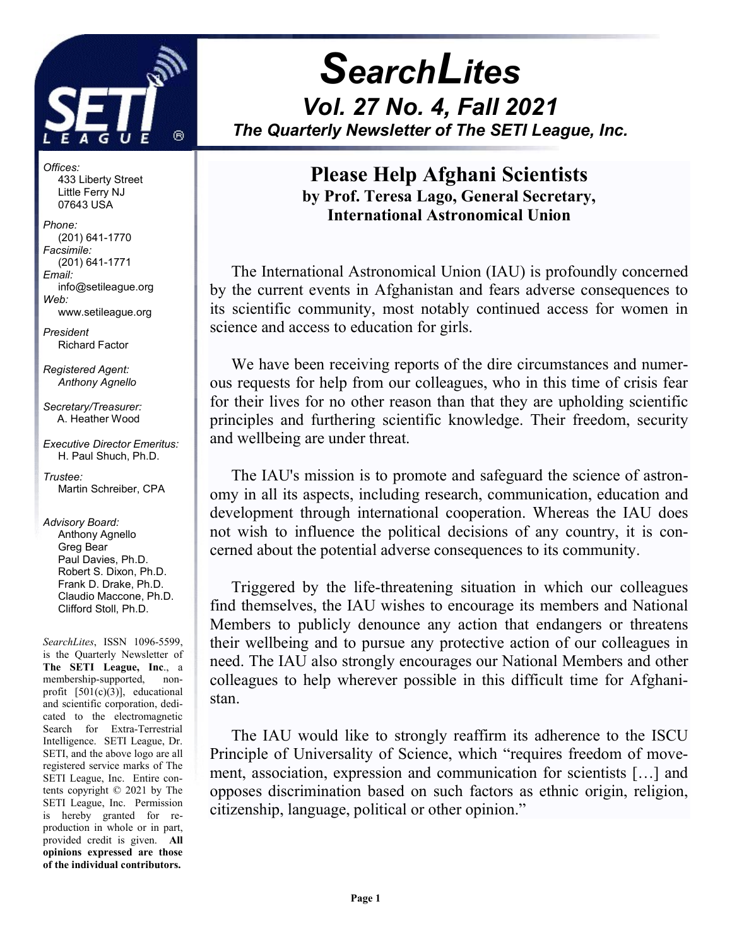

j

**SearchLites** Vol. 27 No. 4, Fall 2021 The Quarterly Newsletter of The SETI League, Inc.

Offices: 433 Liberty Street Little Ferry NJ 07643 USA

Phone: (201) 641-1770 Facsimile: (201) 641-1771 Email: info@setileague.org Web: www.setileague.org

President Richard Factor

Registered Agent: Anthony Agnello

Secretary/Treasurer: A. Heather Wood

Executive Director Emeritus: H. Paul Shuch, Ph.D.

Trustee: Martin Schreiber, CPA

Advisory Board: Anthony Agnello Greg Bear Paul Davies, Ph.D. Robert S. Dixon, Ph.D. Frank D. Drake, Ph.D. Claudio Maccone, Ph.D. Clifford Stoll, Ph.D.

SearchLites, ISSN 1096-5599, is the Quarterly Newsletter of The SETI League, Inc., a membership-supported, nonprofit [501(c)(3)], educational and scientific corporation, dedicated to the electromagnetic Search for Extra-Terrestrial Intelligence. SETI League, Dr. SETI, and the above logo are all registered service marks of The SETI League, Inc. Entire contents copyright © 2021 by The SETI League, Inc. Permission is hereby granted for reproduction in whole or in part, provided credit is given. All opinions expressed are those of the individual contributors.

## Please Help Afghani Scientists by Prof. Teresa Lago, General Secretary, International Astronomical Union

The International Astronomical Union (IAU) is profoundly concerned by the current events in Afghanistan and fears adverse consequences to its scientific community, most notably continued access for women in science and access to education for girls.

We have been receiving reports of the dire circumstances and numerous requests for help from our colleagues, who in this time of crisis fear for their lives for no other reason than that they are upholding scientific principles and furthering scientific knowledge. Their freedom, security and wellbeing are under threat.

The IAU's mission is to promote and safeguard the science of astronomy in all its aspects, including research, communication, education and development through international cooperation. Whereas the IAU does not wish to influence the political decisions of any country, it is concerned about the potential adverse consequences to its community.

Triggered by the life-threatening situation in which our colleagues find themselves, the IAU wishes to encourage its members and National Members to publicly denounce any action that endangers or threatens their wellbeing and to pursue any protective action of our colleagues in need. The IAU also strongly encourages our National Members and other colleagues to help wherever possible in this difficult time for Afghanistan.

The IAU would like to strongly reaffirm its adherence to the ISCU Principle of Universality of Science, which "requires freedom of movement, association, expression and communication for scientists […] and opposes discrimination based on such factors as ethnic origin, religion, citizenship, language, political or other opinion."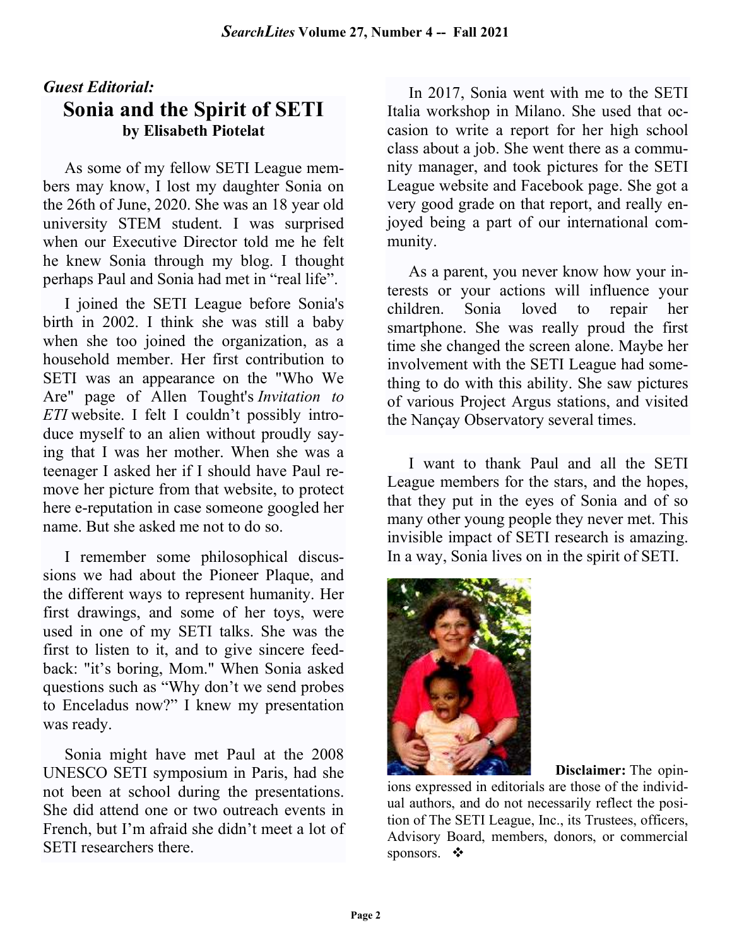# Guest Editorial: Sonia and the Spirit of SETI by Elisabeth Piotelat

As some of my fellow SETI League members may know, I lost my daughter Sonia on the 26th of June, 2020. She was an 18 year old university STEM student. I was surprised when our Executive Director told me he felt he knew Sonia through my blog. I thought perhaps Paul and Sonia had met in "real life".

I joined the SETI League before Sonia's birth in 2002. I think she was still a baby when she too joined the organization, as a household member. Her first contribution to SETI was an appearance on the "Who We Are" page of Allen Tought's Invitation to ETI website. I felt I couldn't possibly introduce myself to an alien without proudly saying that I was her mother. When she was a teenager I asked her if I should have Paul remove her picture from that website, to protect here e-reputation in case someone googled her name. But she asked me not to do so.

I remember some philosophical discussions we had about the Pioneer Plaque, and the different ways to represent humanity. Her first drawings, and some of her toys, were used in one of my SETI talks. She was the first to listen to it, and to give sincere feedback: "it's boring, Mom." When Sonia asked questions such as "Why don't we send probes to Enceladus now?" I knew my presentation was ready.

Sonia might have met Paul at the 2008 UNESCO SETI symposium in Paris, had she not been at school during the presentations. She did attend one or two outreach events in French, but I'm afraid she didn't meet a lot of SETI researchers there.

In 2017, Sonia went with me to the SETI Italia workshop in Milano. She used that occasion to write a report for her high school class about a job. She went there as a community manager, and took pictures for the SETI League website and Facebook page. She got a very good grade on that report, and really enjoyed being a part of our international community.

As a parent, you never know how your interests or your actions will influence your children. Sonia loved to repair her smartphone. She was really proud the first time she changed the screen alone. Maybe her involvement with the SETI League had something to do with this ability. She saw pictures of various Project Argus stations, and visited the Nançay Observatory several times.

I want to thank Paul and all the SETI League members for the stars, and the hopes, that they put in the eyes of Sonia and of so many other young people they never met. This invisible impact of SETI research is amazing. In a way, Sonia lives on in the spirit of SETI.



Disclaimer: The opin-

ions expressed in editorials are those of the individual authors, and do not necessarily reflect the position of The SETI League, Inc., its Trustees, officers, Advisory Board, members, donors, or commercial sponsors. ◆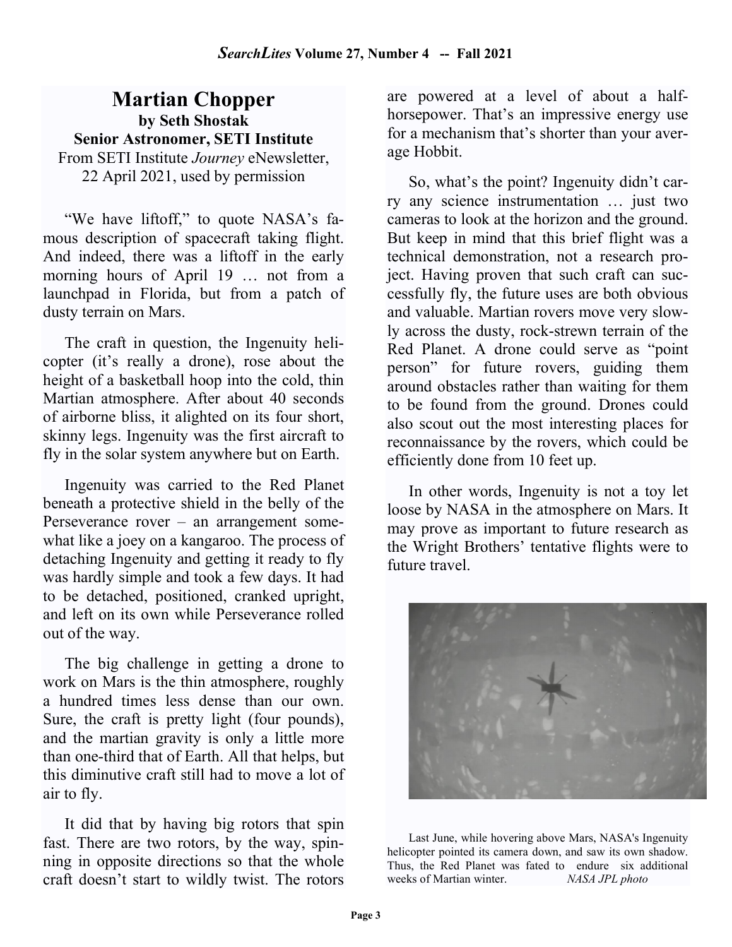## Martian Chopper by Seth Shostak Senior Astronomer, SETI Institute From SETI Institute *Journey* eNewsletter, 22 April 2021, used by permission

"We have liftoff," to quote NASA's famous description of spacecraft taking flight. And indeed, there was a liftoff in the early morning hours of April 19 … not from a launchpad in Florida, but from a patch of dusty terrain on Mars.

The craft in question, the Ingenuity helicopter (it's really a drone), rose about the height of a basketball hoop into the cold, thin Martian atmosphere. After about 40 seconds of airborne bliss, it alighted on its four short, skinny legs. Ingenuity was the first aircraft to fly in the solar system anywhere but on Earth.

Ingenuity was carried to the Red Planet beneath a protective shield in the belly of the Perseverance rover – an arrangement somewhat like a joey on a kangaroo. The process of detaching Ingenuity and getting it ready to fly was hardly simple and took a few days. It had to be detached, positioned, cranked upright, and left on its own while Perseverance rolled out of the way.

The big challenge in getting a drone to work on Mars is the thin atmosphere, roughly a hundred times less dense than our own. Sure, the craft is pretty light (four pounds), and the martian gravity is only a little more than one-third that of Earth. All that helps, but this diminutive craft still had to move a lot of air to fly.

It did that by having big rotors that spin fast. There are two rotors, by the way, spinning in opposite directions so that the whole craft doesn't start to wildly twist. The rotors

are powered at a level of about a halfhorsepower. That's an impressive energy use for a mechanism that's shorter than your average Hobbit.

So, what's the point? Ingenuity didn't carry any science instrumentation … just two cameras to look at the horizon and the ground. But keep in mind that this brief flight was a technical demonstration, not a research project. Having proven that such craft can successfully fly, the future uses are both obvious and valuable. Martian rovers move very slowly across the dusty, rock-strewn terrain of the Red Planet. A drone could serve as "point person" for future rovers, guiding them around obstacles rather than waiting for them to be found from the ground. Drones could also scout out the most interesting places for reconnaissance by the rovers, which could be efficiently done from 10 feet up.

In other words, Ingenuity is not a toy let loose by NASA in the atmosphere on Mars. It may prove as important to future research as the Wright Brothers' tentative flights were to future travel.



Last June, while hovering above Mars, NASA's Ingenuity helicopter pointed its camera down, and saw its own shadow. Thus, the Red Planet was fated to endure six additional weeks of Martian winter. NASA JPL photo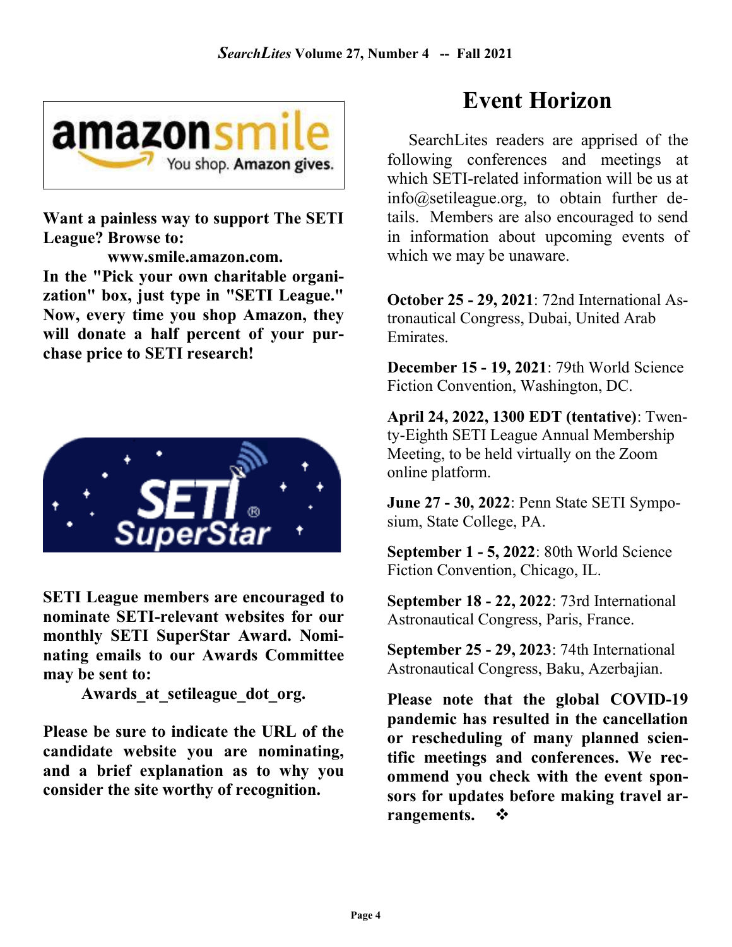

Want a painless way to support The SETI League? Browse to:

 www.smile.amazon.com. In the "Pick your own charitable organization" box, just type in "SETI League." Now, every time you shop Amazon, they will donate a half percent of your purchase price to SETI research!



SETI League members are encouraged to nominate SETI-relevant websites for our monthly SETI SuperStar Award. Nominating emails to our Awards Committee may be sent to:

Awards at setileague dot org.

Please be sure to indicate the URL of the candidate website you are nominating, and a brief explanation as to why you consider the site worthy of recognition.

# Event Horizon

SearchLites readers are apprised of the following conferences and meetings at which SETI-related information will be us at info@setileague.org, to obtain further details. Members are also encouraged to send in information about upcoming events of which we may be unaware.

October 25 - 29, 2021: 72nd International Astronautical Congress, Dubai, United Arab Emirates.

December 15 - 19, 2021: 79th World Science Fiction Convention, Washington, DC.

April 24, 2022, 1300 EDT (tentative): Twenty-Eighth SETI League Annual Membership Meeting, to be held virtually on the Zoom online platform.

June 27 - 30, 2022: Penn State SETI Symposium, State College, PA.

September 1 - 5, 2022: 80th World Science Fiction Convention, Chicago, IL.

September 18 - 22, 2022: 73rd International Astronautical Congress, Paris, France.

September 25 - 29, 2023: 74th International Astronautical Congress, Baku, Azerbajian.

Please note that the global COVID-19 pandemic has resulted in the cancellation or rescheduling of many planned scientific meetings and conferences. We recommend you check with the event sponsors for updates before making travel arrangements.  $\mathbf{\hat{P}}$